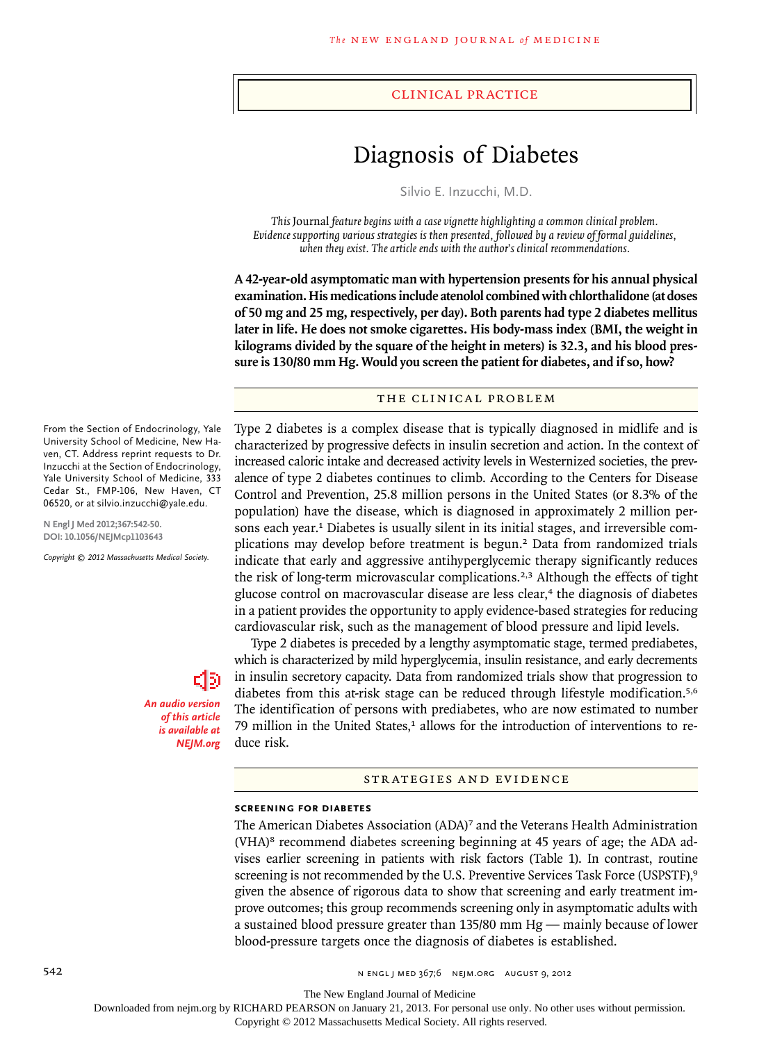#### clinical practice

# Diagnosis of Diabetes

Silvio E. Inzucchi, M.D.

*This* Journal *feature begins with a case vignette highlighting a common clinical problem. Evidence supporting various strategies is then presented, followed by a review of formal guidelines, when they exist. The article ends with the author's clinical recommendations.* 

**A 42-year-old asymptomatic man with hypertension presents for his annual physical examination. His medications include atenolol combined with chlorthalidone (at doses of 50 mg and 25 mg, respectively, per day). Both parents had type 2 diabetes mellitus later in life. He does not smoke cigarettes. His body-mass index (BMI, the weight in kilograms divided by the square of the height in meters) is 32.3, and his blood pressure is 130/80 mm Hg. Would you screen the patient for diabetes, and if so, how?**

## THE CLINICAL PROBLEM

Type 2 diabetes is a complex disease that is typically diagnosed in midlife and is characterized by progressive defects in insulin secretion and action. In the context of increased caloric intake and decreased activity levels in Westernized societies, the prevalence of type 2 diabetes continues to climb. According to the Centers for Disease Control and Prevention, 25.8 million persons in the United States (or 8.3% of the population) have the disease, which is diagnosed in approximately 2 million persons each year.1 Diabetes is usually silent in its initial stages, and irreversible complications may develop before treatment is begun.<sup>2</sup> Data from randomized trials indicate that early and aggressive antihyperglycemic therapy significantly reduces the risk of long-term microvascular complications.<sup>2,3</sup> Although the effects of tight glucose control on macrovascular disease are less clear, $4$  the diagnosis of diabetes in a patient provides the opportunity to apply evidence-based strategies for reducing cardiovascular risk, such as the management of blood pressure and lipid levels.

Type 2 diabetes is preceded by a lengthy asymptomatic stage, termed prediabetes, which is characterized by mild hyperglycemia, insulin resistance, and early decrements in insulin secretory capacity. Data from randomized trials show that progression to diabetes from this at-risk stage can be reduced through lifestyle modification.<sup>5,6</sup> The identification of persons with prediabetes, who are now estimated to number 79 million in the United States, $<sup>1</sup>$  allows for the introduction of interventions to re-</sup> duce risk.

### STRATEGIES AND EVIDENCE

#### **Screening for Diabetes**

The American Diabetes Association (ADA)7 and the Veterans Health Administration (VHA)<sup>8</sup> recommend diabetes screening beginning at 45 years of age; the ADA advises earlier screening in patients with risk factors (Table 1). In contrast, routine screening is not recommended by the U.S. Preventive Services Task Force (USPSTF),<sup>9</sup> given the absence of rigorous data to show that screening and early treatment improve outcomes; this group recommends screening only in asymptomatic adults with a sustained blood pressure greater than 135/80 mm Hg — mainly because of lower blood-pressure targets once the diagnosis of diabetes is established.

University School of Medicine, New Haven, CT. Address reprint requests to Dr. Inzucchi at the Section of Endocrinology, Yale University School of Medicine, 333 Cedar St., FMP-106, New Haven, CT 06520, or at silvio.inzucchi@yale.edu.

From the Section of Endocrinology, Yale

**N Engl J Med 2012;367:542-50. DOI: 10.1056/NEJMcp1103643**

*Copyright © 2012 Massachusetts Medical Society.*

*An audio version of this article is available at NEJM.org*

The New England Journal of Medicine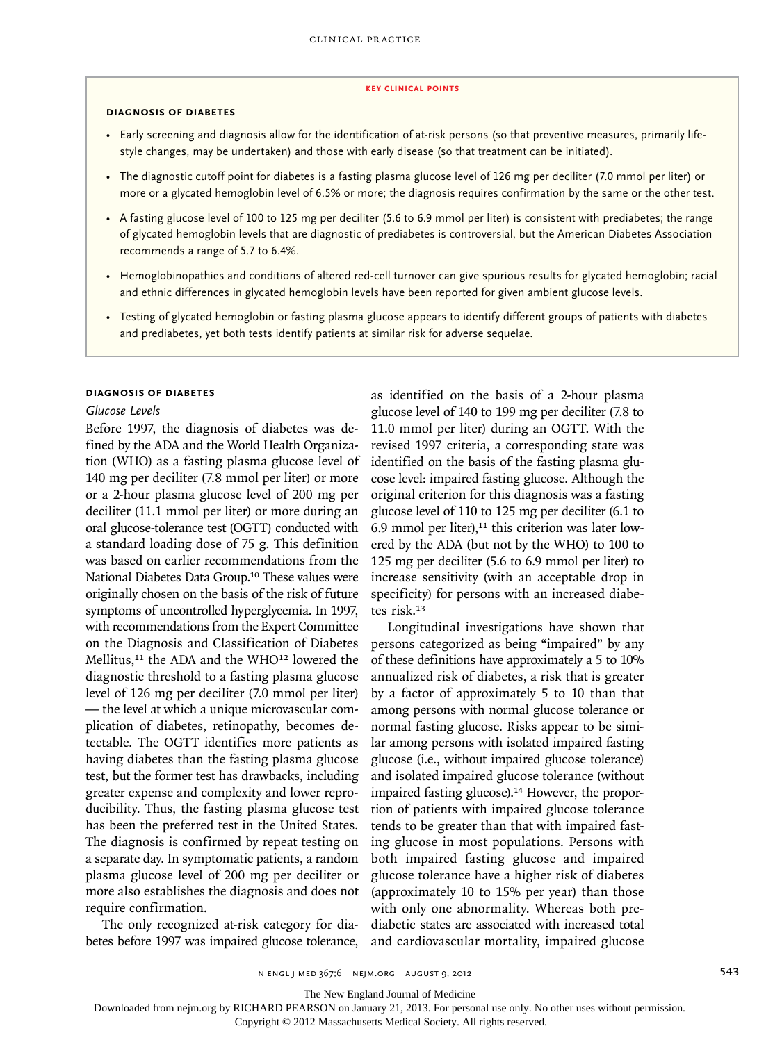#### **key Clinical points**

## **Diagnosis of Diabetes**

- Early screening and diagnosis allow for the identification of at-risk persons (so that preventive measures, primarily lifestyle changes, may be undertaken) and those with early disease (so that treatment can be initiated).
- The diagnostic cutoff point for diabetes is a fasting plasma glucose level of 126 mg per deciliter (7.0 mmol per liter) or more or a glycated hemoglobin level of 6.5% or more; the diagnosis requires confirmation by the same or the other test.
- A fasting glucose level of 100 to 125 mg per deciliter (5.6 to 6.9 mmol per liter) is consistent with prediabetes; the range of glycated hemoglobin levels that are diagnostic of prediabetes is controversial, but the American Diabetes Association recommends a range of 5.7 to 6.4%.
- Hemoglobinopathies and conditions of altered red-cell turnover can give spurious results for glycated hemoglobin; racial and ethnic differences in glycated hemoglobin levels have been reported for given ambient glucose levels.
- Testing of glycated hemoglobin or fasting plasma glucose appears to identify different groups of patients with diabetes and prediabetes, yet both tests identify patients at similar risk for adverse sequelae.

#### **Diagnosis of Diabetes**

#### *Glucose Levels*

Before 1997, the diagnosis of diabetes was defined by the ADA and the World Health Organization (WHO) as a fasting plasma glucose level of 140 mg per deciliter (7.8 mmol per liter) or more or a 2-hour plasma glucose level of 200 mg per deciliter (11.1 mmol per liter) or more during an oral glucose-tolerance test (OGTT) conducted with a standard loading dose of 75 g. This definition was based on earlier recommendations from the National Diabetes Data Group.10 These values were originally chosen on the basis of the risk of future symptoms of uncontrolled hyperglycemia. In 1997, with recommendations from the Expert Committee on the Diagnosis and Classification of Diabetes Mellitus,<sup>11</sup> the ADA and the WHO<sup>12</sup> lowered the diagnostic threshold to a fasting plasma glucose level of 126 mg per deciliter (7.0 mmol per liter) — the level at which a unique microvascular complication of diabetes, retinopathy, becomes detectable. The OGTT identifies more patients as having diabetes than the fasting plasma glucose test, but the former test has drawbacks, including greater expense and complexity and lower reproducibility. Thus, the fasting plasma glucose test has been the preferred test in the United States. The diagnosis is confirmed by repeat testing on a separate day. In symptomatic patients, a random plasma glucose level of 200 mg per deciliter or more also establishes the diagnosis and does not require confirmation.

The only recognized at-risk category for diabetes before 1997 was impaired glucose tolerance, as identified on the basis of a 2-hour plasma glucose level of 140 to 199 mg per deciliter (7.8 to 11.0 mmol per liter) during an OGTT. With the revised 1997 criteria, a corresponding state was identified on the basis of the fasting plasma glucose level: impaired fasting glucose. Although the original criterion for this diagnosis was a fasting glucose level of 110 to 125 mg per deciliter (6.1 to 6.9 mmol per liter), $11$  this criterion was later lowered by the ADA (but not by the WHO) to 100 to 125 mg per deciliter (5.6 to 6.9 mmol per liter) to increase sensitivity (with an acceptable drop in specificity) for persons with an increased diabetes risk.<sup>13</sup>

Longitudinal investigations have shown that persons categorized as being "impaired" by any of these definitions have approximately a 5 to 10% annualized risk of diabetes, a risk that is greater by a factor of approximately 5 to 10 than that among persons with normal glucose tolerance or normal fasting glucose. Risks appear to be similar among persons with isolated impaired fasting glucose (i.e., without impaired glucose tolerance) and isolated impaired glucose tolerance (without impaired fasting glucose).<sup>14</sup> However, the proportion of patients with impaired glucose tolerance tends to be greater than that with impaired fasting glucose in most populations. Persons with both impaired fasting glucose and impaired glucose tolerance have a higher risk of diabetes (approximately 10 to 15% per year) than those with only one abnormality. Whereas both prediabetic states are associated with increased total and cardiovascular mortality, impaired glucose

The New England Journal of Medicine

Downloaded from nejm.org by RICHARD PEARSON on January 21, 2013. For personal use only. No other uses without permission.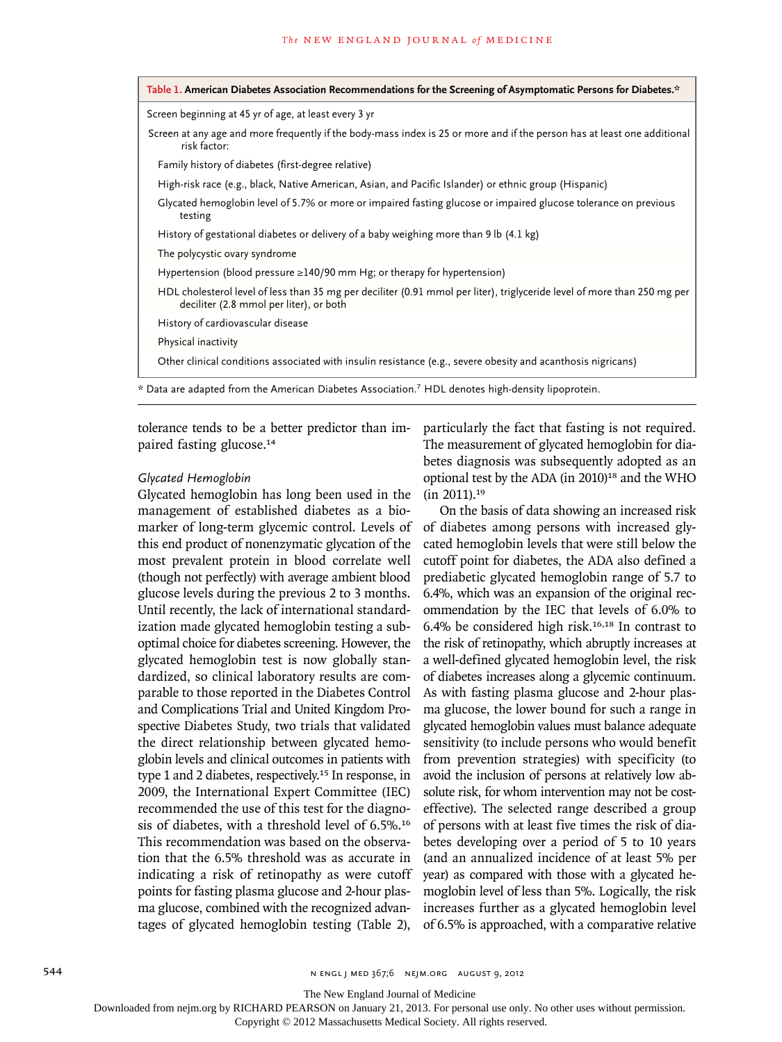| Table 1. American Diabetes Association Recommendations for the Screening of Asymptomatic Persons for Diabetes.*                                                     |
|---------------------------------------------------------------------------------------------------------------------------------------------------------------------|
| Screen beginning at 45 yr of age, at least every 3 yr                                                                                                               |
| Screen at any age and more frequently if the body-mass index is 25 or more and if the person has at least one additional<br>risk factor:                            |
| Family history of diabetes (first-degree relative)                                                                                                                  |
| High-risk race (e.g., black, Native American, Asian, and Pacific Islander) or ethnic group (Hispanic)                                                               |
| Glycated hemoglobin level of 5.7% or more or impaired fasting glucose or impaired glucose tolerance on previous<br>testing                                          |
| History of gestational diabetes or delivery of a baby weighing more than 9 lb (4.1 kg)                                                                              |
| The polycystic ovary syndrome                                                                                                                                       |
| Hypertension (blood pressure $\geq$ 140/90 mm Hg; or therapy for hypertension)                                                                                      |
| HDL cholesterol level of less than 35 mg per deciliter (0.91 mmol per liter), triglyceride level of more than 250 mg per<br>deciliter (2.8 mmol per liter), or both |
| History of cardiovascular disease                                                                                                                                   |
| Physical inactivity                                                                                                                                                 |
| Other clinical conditions associated with insulin resistance (e.g., severe obesity and acanthosis nigricans)                                                        |

\* Data are adapted from the American Diabetes Association.7 HDL denotes high-density lipoprotein.

tolerance tends to be a better predictor than impaired fasting glucose.<sup>14</sup>

## *Glycated Hemoglobin*

Glycated hemoglobin has long been used in the management of established diabetes as a biomarker of long-term glycemic control. Levels of this end product of nonenzymatic glycation of the most prevalent protein in blood correlate well (though not perfectly) with average ambient blood glucose levels during the previous 2 to 3 months. Until recently, the lack of international standardization made glycated hemoglobin testing a suboptimal choice for diabetes screening. However, the glycated hemoglobin test is now globally standardized, so clinical laboratory results are comparable to those reported in the Diabetes Control and Complications Trial and United Kingdom Prospective Diabetes Study, two trials that validated the direct relationship between glycated hemoglobin levels and clinical outcomes in patients with type 1 and 2 diabetes, respectively.15 In response, in 2009, the International Expert Committee (IEC) recommended the use of this test for the diagnosis of diabetes, with a threshold level of 6.5%.<sup>16</sup> This recommendation was based on the observation that the 6.5% threshold was as accurate in indicating a risk of retinopathy as were cutoff points for fasting plasma glucose and 2-hour plasma glucose, combined with the recognized advantages of glycated hemoglobin testing (Table 2),

particularly the fact that fasting is not required. The measurement of glycated hemoglobin for diabetes diagnosis was subsequently adopted as an optional test by the ADA (in 2010)<sup>18</sup> and the WHO (in 2011).<sup>19</sup>

On the basis of data showing an increased risk of diabetes among persons with increased glycated hemoglobin levels that were still below the cutoff point for diabetes, the ADA also defined a prediabetic glycated hemoglobin range of 5.7 to 6.4%, which was an expansion of the original recommendation by the IEC that levels of 6.0% to 6.4% be considered high risk.16,18 In contrast to the risk of retinopathy, which abruptly increases at a well-defined glycated hemoglobin level, the risk of diabetes increases along a glycemic continuum. As with fasting plasma glucose and 2-hour plasma glucose, the lower bound for such a range in glycated hemoglobin values must balance adequate sensitivity (to include persons who would benefit from prevention strategies) with specificity (to avoid the inclusion of persons at relatively low absolute risk, for whom intervention may not be costeffective). The selected range described a group of persons with at least five times the risk of diabetes developing over a period of 5 to 10 years (and an annualized incidence of at least 5% per year) as compared with those with a glycated hemoglobin level of less than 5%. Logically, the risk increases further as a glycated hemoglobin level of 6.5% is approached, with a comparative relative

The New England Journal of Medicine

Downloaded from nejm.org by RICHARD PEARSON on January 21, 2013. For personal use only. No other uses without permission.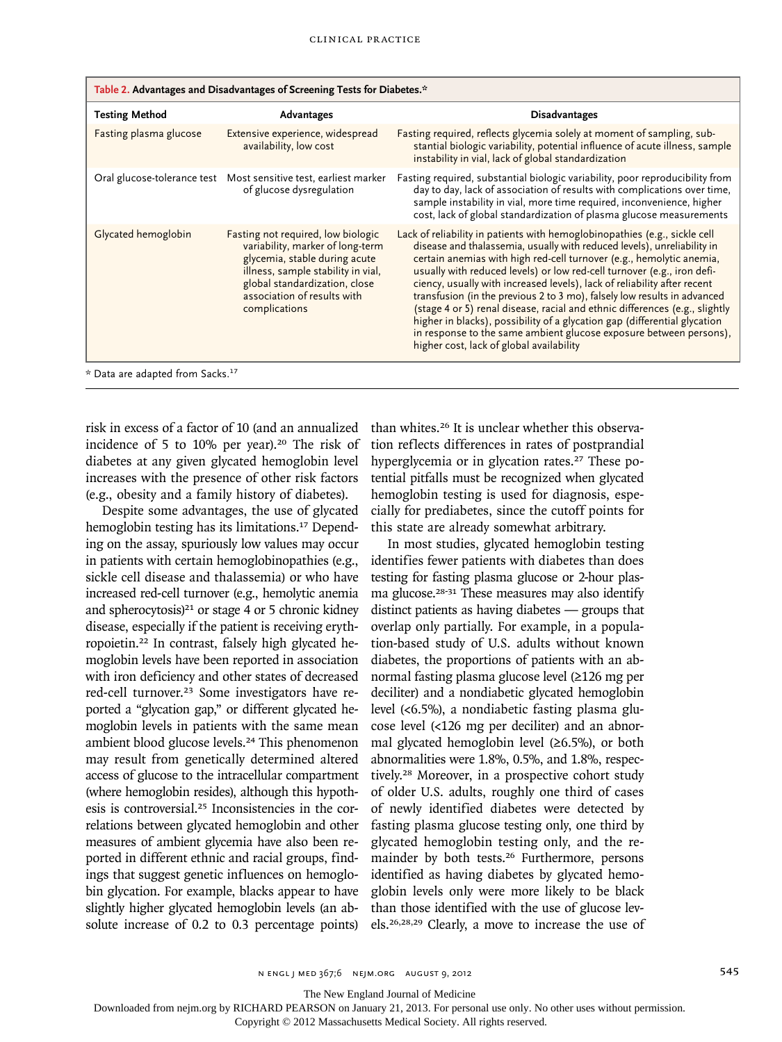| Table 2. Advantages and Disadvantages of Screening Tests for Diabetes.* |                                                                                                                                                                                                                                |                                                                                                                                                                                                                                                                                                                                                                                                                                                                                                                                                                                                                                                                                                                                                |  |  |  |  |
|-------------------------------------------------------------------------|--------------------------------------------------------------------------------------------------------------------------------------------------------------------------------------------------------------------------------|------------------------------------------------------------------------------------------------------------------------------------------------------------------------------------------------------------------------------------------------------------------------------------------------------------------------------------------------------------------------------------------------------------------------------------------------------------------------------------------------------------------------------------------------------------------------------------------------------------------------------------------------------------------------------------------------------------------------------------------------|--|--|--|--|
| <b>Testing Method</b>                                                   | Advantages                                                                                                                                                                                                                     | <b>Disadvantages</b>                                                                                                                                                                                                                                                                                                                                                                                                                                                                                                                                                                                                                                                                                                                           |  |  |  |  |
| Fasting plasma glucose                                                  | Extensive experience, widespread<br>availability, low cost                                                                                                                                                                     | Fasting required, reflects glycemia solely at moment of sampling, sub-<br>stantial biologic variability, potential influence of acute illness, sample<br>instability in vial, lack of global standardization                                                                                                                                                                                                                                                                                                                                                                                                                                                                                                                                   |  |  |  |  |
|                                                                         | Oral glucose-tolerance test Most sensitive test, earliest marker<br>of glucose dysregulation                                                                                                                                   | Fasting required, substantial biologic variability, poor reproducibility from<br>day to day, lack of association of results with complications over time,<br>sample instability in vial, more time required, inconvenience, higher<br>cost, lack of global standardization of plasma glucose measurements                                                                                                                                                                                                                                                                                                                                                                                                                                      |  |  |  |  |
| Glycated hemoglobin                                                     | Fasting not required, low biologic<br>variability, marker of long-term<br>glycemia, stable during acute<br>illness, sample stability in vial,<br>global standardization, close<br>association of results with<br>complications | Lack of reliability in patients with hemoglobinopathies (e.g., sickle cell<br>disease and thalassemia, usually with reduced levels), unreliability in<br>certain anemias with high red-cell turnover (e.g., hemolytic anemia,<br>usually with reduced levels) or low red-cell turnover (e.g., iron defi-<br>ciency, usually with increased levels), lack of reliability after recent<br>transfusion (in the previous 2 to 3 mo), falsely low results in advanced<br>(stage 4 or 5) renal disease, racial and ethnic differences (e.g., slightly<br>higher in blacks), possibility of a glycation gap (differential glycation<br>in response to the same ambient glucose exposure between persons),<br>higher cost, lack of global availability |  |  |  |  |
| * Data are adapted from Sacks. <sup>17</sup>                            |                                                                                                                                                                                                                                |                                                                                                                                                                                                                                                                                                                                                                                                                                                                                                                                                                                                                                                                                                                                                |  |  |  |  |

risk in excess of a factor of 10 (and an annualized incidence of 5 to 10% per year).<sup>20</sup> The risk of diabetes at any given glycated hemoglobin level increases with the presence of other risk factors (e.g., obesity and a family history of diabetes).

Despite some advantages, the use of glycated hemoglobin testing has its limitations.17 Depending on the assay, spuriously low values may occur in patients with certain hemoglobinopathies (e.g., sickle cell disease and thalassemia) or who have increased red-cell turnover (e.g., hemolytic anemia and spherocytosis) $21$  or stage 4 or 5 chronic kidney disease, especially if the patient is receiving erythropoietin.22 In contrast, falsely high glycated hemoglobin levels have been reported in association with iron deficiency and other states of decreased red-cell turnover.23 Some investigators have reported a "glycation gap," or different glycated hemoglobin levels in patients with the same mean ambient blood glucose levels.24 This phenomenon may result from genetically determined altered access of glucose to the intracellular compartment (where hemoglobin resides), although this hypothesis is controversial.25 Inconsistencies in the correlations between glycated hemoglobin and other measures of ambient glycemia have also been reported in different ethnic and racial groups, findings that suggest genetic influences on hemoglobin glycation. For example, blacks appear to have slightly higher glycated hemoglobin levels (an absolute increase of 0.2 to 0.3 percentage points) than whites.26 It is unclear whether this observation reflects differences in rates of postprandial hyperglycemia or in glycation rates.<sup>27</sup> These potential pitfalls must be recognized when glycated hemoglobin testing is used for diagnosis, especially for prediabetes, since the cutoff points for this state are already somewhat arbitrary.

In most studies, glycated hemoglobin testing identifies fewer patients with diabetes than does testing for fasting plasma glucose or 2-hour plasma glucose.28-31 These measures may also identify distinct patients as having diabetes — groups that overlap only partially. For example, in a population-based study of U.S. adults without known diabetes, the proportions of patients with an abnormal fasting plasma glucose level (≥126 mg per deciliter) and a nondiabetic glycated hemoglobin level (<6.5%), a nondiabetic fasting plasma glucose level (<126 mg per deciliter) and an abnormal glycated hemoglobin level  $(\geq 6.5\%)$ , or both abnormalities were 1.8%, 0.5%, and 1.8%, respectively.28 Moreover, in a prospective cohort study of older U.S. adults, roughly one third of cases of newly identified diabetes were detected by fasting plasma glucose testing only, one third by glycated hemoglobin testing only, and the remainder by both tests.<sup>26</sup> Furthermore, persons identified as having diabetes by glycated hemoglobin levels only were more likely to be black than those identified with the use of glucose levels.26,28,29 Clearly, a move to increase the use of

The New England Journal of Medicine

Downloaded from nejm.org by RICHARD PEARSON on January 21, 2013. For personal use only. No other uses without permission.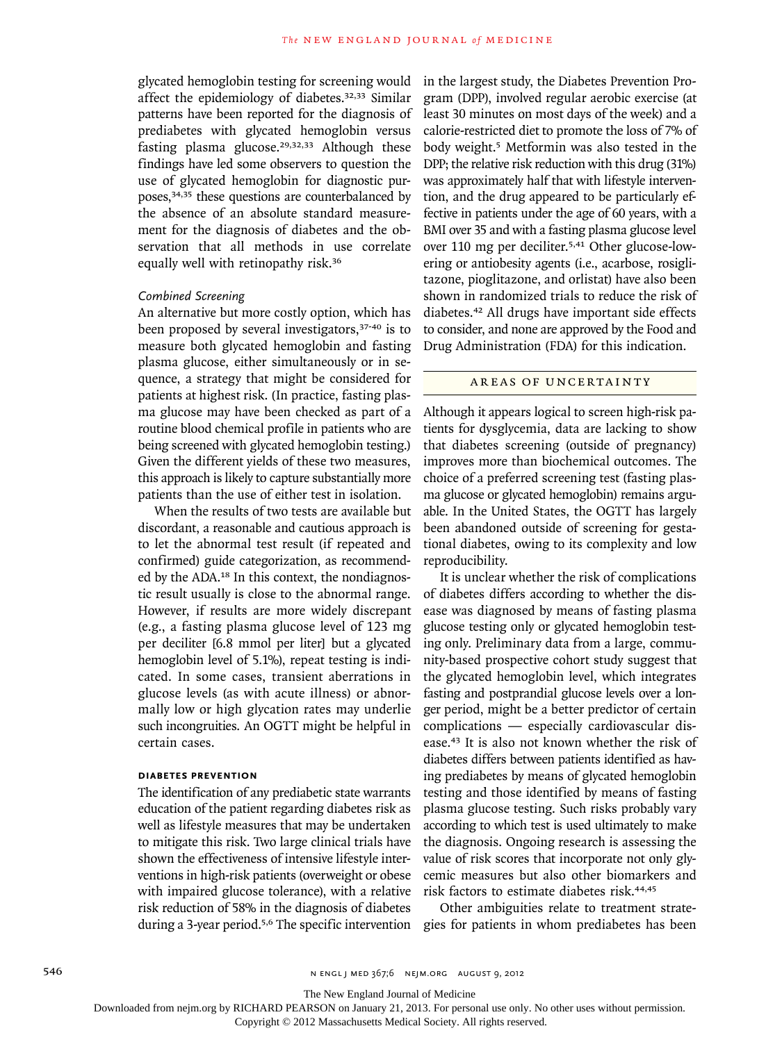glycated hemoglobin testing for screening would affect the epidemiology of diabetes.32,33 Similar patterns have been reported for the diagnosis of prediabetes with glycated hemoglobin versus fasting plasma glucose.<sup>29,32,33</sup> Although these findings have led some observers to question the use of glycated hemoglobin for diagnostic purposes,34,35 these questions are counterbalanced by the absence of an absolute standard measurement for the diagnosis of diabetes and the observation that all methods in use correlate equally well with retinopathy risk.<sup>36</sup>

## *Combined Screening*

An alternative but more costly option, which has been proposed by several investigators,<sup>37-40</sup> is to measure both glycated hemoglobin and fasting plasma glucose, either simultaneously or in sequence, a strategy that might be considered for patients at highest risk. (In practice, fasting plasma glucose may have been checked as part of a routine blood chemical profile in patients who are being screened with glycated hemoglobin testing.) Given the different yields of these two measures, this approach is likely to capture substantially more patients than the use of either test in isolation.

When the results of two tests are available but discordant, a reasonable and cautious approach is to let the abnormal test result (if repeated and confirmed) guide categorization, as recommended by the ADA.18 In this context, the nondiagnostic result usually is close to the abnormal range. However, if results are more widely discrepant (e.g., a fasting plasma glucose level of 123 mg per deciliter [6.8 mmol per liter] but a glycated hemoglobin level of 5.1%), repeat testing is indicated. In some cases, transient aberrations in glucose levels (as with acute illness) or abnormally low or high glycation rates may underlie such incongruities. An OGTT might be helpful in certain cases.

## **Diabetes Prevention**

The identification of any prediabetic state warrants education of the patient regarding diabetes risk as well as lifestyle measures that may be undertaken to mitigate this risk. Two large clinical trials have shown the effectiveness of intensive lifestyle interventions in high-risk patients (overweight or obese with impaired glucose tolerance), with a relative risk reduction of 58% in the diagnosis of diabetes during a 3-year period.<sup>5,6</sup> The specific intervention gies for patients in whom prediabetes has been

in the largest study, the Diabetes Prevention Program (DPP), involved regular aerobic exercise (at least 30 minutes on most days of the week) and a calorie-restricted diet to promote the loss of 7% of body weight.5 Metformin was also tested in the DPP; the relative risk reduction with this drug (31%) was approximately half that with lifestyle intervention, and the drug appeared to be particularly effective in patients under the age of 60 years, with a BMI over 35 and with a fasting plasma glucose level over 110 mg per deciliter.5,41 Other glucose-lowering or antiobesity agents (i.e., acarbose, rosiglitazone, pioglitazone, and orlistat) have also been shown in randomized trials to reduce the risk of diabetes.42 All drugs have important side effects to consider, and none are approved by the Food and Drug Administration (FDA) for this indication.

# AREAS OF UNCERTAINTY

Although it appears logical to screen high-risk patients for dysglycemia, data are lacking to show that diabetes screening (outside of pregnancy) improves more than biochemical outcomes. The choice of a preferred screening test (fasting plasma glucose or glycated hemoglobin) remains arguable. In the United States, the OGTT has largely been abandoned outside of screening for gestational diabetes, owing to its complexity and low reproducibility.

It is unclear whether the risk of complications of diabetes differs according to whether the disease was diagnosed by means of fasting plasma glucose testing only or glycated hemoglobin testing only. Preliminary data from a large, community-based prospective cohort study suggest that the glycated hemoglobin level, which integrates fasting and postprandial glucose levels over a longer period, might be a better predictor of certain complications — especially cardiovascular disease.43 It is also not known whether the risk of diabetes differs between patients identified as having prediabetes by means of glycated hemoglobin testing and those identified by means of fasting plasma glucose testing. Such risks probably vary according to which test is used ultimately to make the diagnosis. Ongoing research is assessing the value of risk scores that incorporate not only glycemic measures but also other biomarkers and risk factors to estimate diabetes risk.44,45

Other ambiguities relate to treatment strate-

The New England Journal of Medicine

Downloaded from nejm.org by RICHARD PEARSON on January 21, 2013. For personal use only. No other uses without permission.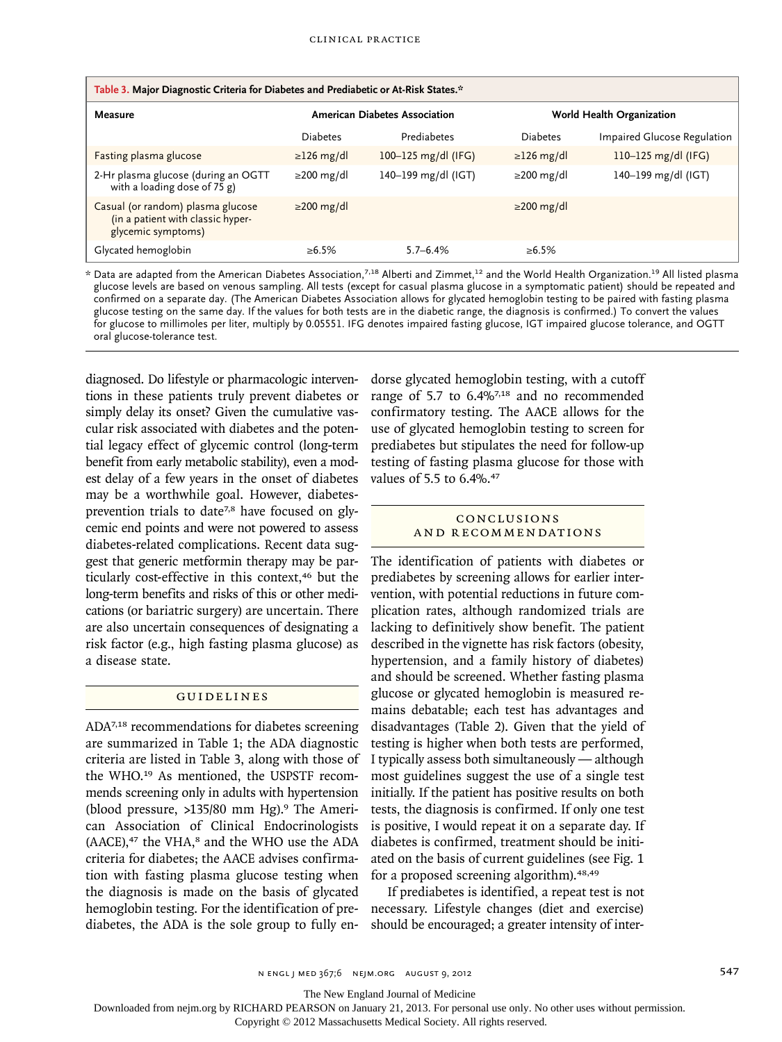| Table 3. Major Diagnostic Criteria for Diabetes and Prediabetic or At-Risk States.*          |                                      |                       |                           |                             |  |  |
|----------------------------------------------------------------------------------------------|--------------------------------------|-----------------------|---------------------------|-----------------------------|--|--|
| Measure                                                                                      | <b>American Diabetes Association</b> |                       | World Health Organization |                             |  |  |
|                                                                                              | <b>Diabetes</b>                      | Prediabetes           | Diabetes                  | Impaired Glucose Regulation |  |  |
| Fasting plasma glucose                                                                       | $\geq$ 126 mg/dl                     | 100-125 $mg/dl$ (IFG) | $\geq$ 126 mg/dl          | 110-125 $mg/dI$ (IFG)       |  |  |
| 2-Hr plasma glucose (during an OGTT<br>with a loading dose of 75 g)                          | $\geq$ 200 mg/dl                     | 140-199 mg/dl (IGT)   | $\geq$ 200 mg/dl          | 140-199 mg/dl (IGT)         |  |  |
| Casual (or random) plasma glucose<br>(in a patient with classic hyper-<br>glycemic symptoms) | $\geq$ 200 mg/dl                     |                       | $\geq$ 200 mg/dl          |                             |  |  |
| Glycated hemoglobin                                                                          | ≥6.5%                                | $5.7 - 6.4%$          | $\ge 6.5\%$               |                             |  |  |

 $*$  Data are adapted from the American Diabetes Association,<sup>7,18</sup> Alberti and Zimmet,<sup>12</sup> and the World Health Organization.<sup>19</sup> All listed plasma glucose levels are based on venous sampling. All tests (except for casual plasma glucose in a symptomatic patient) should be repeated and confirmed on a separate day. (The American Diabetes Association allows for glycated hemoglobin testing to be paired with fasting plasma glucose testing on the same day. If the values for both tests are in the diabetic range, the diagnosis is confirmed.) To convert the values for glucose to millimoles per liter, multiply by 0.05551. IFG denotes impaired fasting glucose, IGT impaired glucose tolerance, and OGTT oral glucose-tolerance test.

diagnosed. Do lifestyle or pharmacologic interventions in these patients truly prevent diabetes or simply delay its onset? Given the cumulative vascular risk associated with diabetes and the potential legacy effect of glycemic control (long-term benefit from early metabolic stability), even a modest delay of a few years in the onset of diabetes may be a worthwhile goal. However, diabetesprevention trials to date<sup>7,8</sup> have focused on glycemic end points and were not powered to assess diabetes-related complications. Recent data suggest that generic metformin therapy may be particularly cost-effective in this context,<sup>46</sup> but the long-term benefits and risks of this or other medications (or bariatric surgery) are uncertain. There are also uncertain consequences of designating a risk factor (e.g., high fasting plasma glucose) as a disease state.

# Guidelines

ADA7,18 recommendations for diabetes screening are summarized in Table 1; the ADA diagnostic criteria are listed in Table 3, along with those of the WHO.19 As mentioned, the USPSTF recommends screening only in adults with hypertension (blood pressure,  $>135/80$  mm Hg).<sup>9</sup> The American Association of Clinical Endocrinologists  $(AACE),<sup>47</sup>$  the VHA, $<sup>8</sup>$  and the WHO use the ADA</sup> criteria for diabetes; the AACE advises confirmation with fasting plasma glucose testing when the diagnosis is made on the basis of glycated hemoglobin testing. For the identification of prediabetes, the ADA is the sole group to fully endorse glycated hemoglobin testing, with a cutoff range of 5.7 to 6.4%7,18 and no recommended confirmatory testing. The AACE allows for the use of glycated hemoglobin testing to screen for prediabetes but stipulates the need for follow-up testing of fasting plasma glucose for those with values of 5.5 to 6.4%.<sup>47</sup>

## Conclusions a nd R ecommendations

The identification of patients with diabetes or prediabetes by screening allows for earlier intervention, with potential reductions in future complication rates, although randomized trials are lacking to definitively show benefit. The patient described in the vignette has risk factors (obesity, hypertension, and a family history of diabetes) and should be screened. Whether fasting plasma glucose or glycated hemoglobin is measured remains debatable; each test has advantages and disadvantages (Table 2). Given that the yield of testing is higher when both tests are performed, I typically assess both simultaneously — although most guidelines suggest the use of a single test initially. If the patient has positive results on both tests, the diagnosis is confirmed. If only one test is positive, I would repeat it on a separate day. If diabetes is confirmed, treatment should be initiated on the basis of current guidelines (see Fig. 1 for a proposed screening algorithm).48,49

If prediabetes is identified, a repeat test is not necessary. Lifestyle changes (diet and exercise) should be encouraged; a greater intensity of inter-

The New England Journal of Medicine

Downloaded from nejm.org by RICHARD PEARSON on January 21, 2013. For personal use only. No other uses without permission.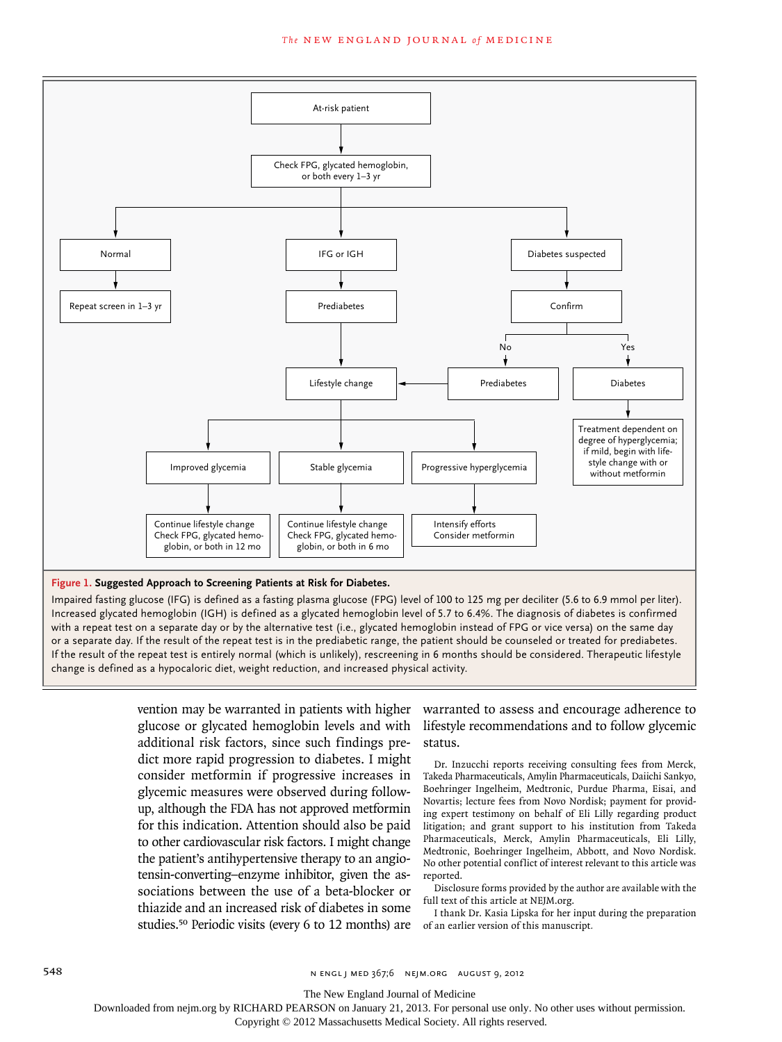#### The NEW ENGLAND JOURNAL of MEDICINE



Increased glycated hemoglobin (IGH) is defined as a glycated hemoglobin level of 5.7 to 6.4%. The diagnosis of diabetes is confirmed with a repeat test on a separate day or by the alternative test (i.e., glycated hemoglobin instead of FPG or vice versa) on the same day or a separate day. If the result of the repeat test is in the prediabetic range, the patient should be counseled or treated for prediabetes. If the result of the repeat test is entirely normal (which is unlikely), rescreening in 6 months should be considered. Therapeutic lifestyle change is defined as a hypocaloric diet, weight reduction, and increased physical activity.

> glucose or glycated hemoglobin levels and with additional risk factors, since such findings predict more rapid progression to diabetes. I might consider metformin if progressive increases in glycemic measures were observed during followup, although the FDA has not approved metformin for this indication. Attention should also be paid to other cardiovascular risk factors. I might change the patient's antihypertensive therapy to an angiotensin-converting–enzyme inhibitor, given the associations between the use of a beta-blocker or thiazide and an increased risk of diabetes in some studies.50 Periodic visits (every 6 to 12 months) are

vention may be warranted in patients with higher warranted to assess and encourage adherence to lifestyle recommendations and to follow glycemic status.

> Dr. Inzucchi reports receiving consulting fees from Merck, Takeda Pharmaceuticals, Amylin Pharmaceuticals, Daiichi Sankyo, Boehringer Ingelheim, Medtronic, Purdue Pharma, Eisai, and Novartis; lecture fees from Novo Nordisk; payment for providing expert testimony on behalf of Eli Lilly regarding product litigation; and grant support to his institution from Takeda Pharmaceuticals, Merck, Amylin Pharmaceuticals, Eli Lilly, Medtronic, Boehringer Ingelheim, Abbott, and Novo Nordisk. No other potential conflict of interest relevant to this article was reported.

> Disclosure forms provided by the author are available with the full text of this article at NEJM.org.

> I thank Dr. Kasia Lipska for her input during the preparation of an earlier version of this manuscript*.*

The New England Journal of Medicine

Downloaded from nejm.org by RICHARD PEARSON on January 21, 2013. For personal use only. No other uses without permission.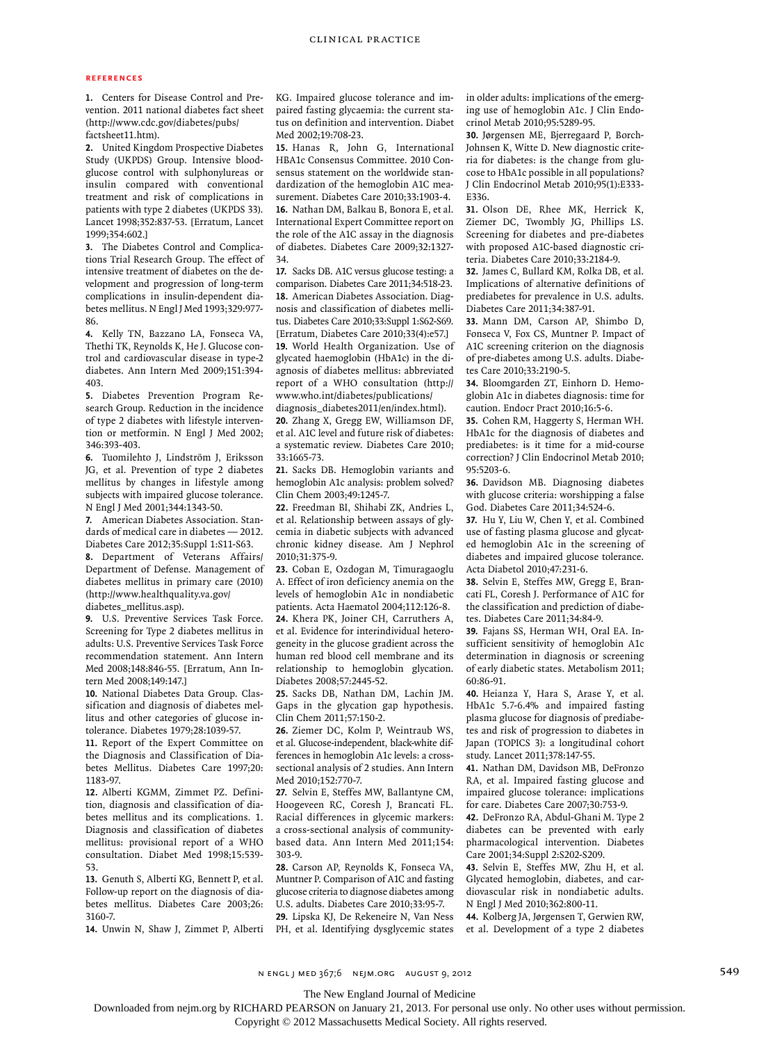#### **References**

**1.** Centers for Disease Control and Prevention. 2011 national diabetes fact sheet (http://www.cdc.gov/diabetes/pubs/ factsheet11.htm).

**2.** United Kingdom Prospective Diabetes Study (UKPDS) Group. Intensive bloodglucose control with sulphonylureas or insulin compared with conventional treatment and risk of complications in patients with type 2 diabetes (UKPDS 33). Lancet 1998;352:837-53. [Erratum, Lancet 1999;354:602.]

**3.** The Diabetes Control and Complications Trial Research Group. The effect of intensive treatment of diabetes on the development and progression of long-term complications in insulin-dependent diabetes mellitus. N Engl J Med 1993;329:977- 86.

**4.** Kelly TN, Bazzano LA, Fonseca VA, Thethi TK, Reynolds K, He J. Glucose control and cardiovascular disease in type-2 diabetes. Ann Intern Med 2009;151:394- 403.

**5.** Diabetes Prevention Program Research Group. Reduction in the incidence of type 2 diabetes with lifestyle intervention or metformin. N Engl J Med 2002; 346:393-403.

**6.** Tuomilehto J, Lindström J, Eriksson JG, et al. Prevention of type 2 diabetes mellitus by changes in lifestyle among subjects with impaired glucose tolerance. N Engl J Med 2001;344:1343-50.

**7.** American Diabetes Association. Standards of medical care in diabetes — 2012. Diabetes Care 2012;35:Suppl 1:S11-S63. **8.** Department of Veterans Affairs/ Department of Defense. Management of

diabetes mellitus in primary care (2010) (http://www.healthquality.va.gov/ diabetes\_mellitus.asp).

**9.** U.S. Preventive Services Task Force. Screening for Type 2 diabetes mellitus in adults: U.S. Preventive Services Task Force recommendation statement. Ann Intern Med 2008;148:846-55. [Erratum, Ann Intern Med 2008;149:147.]

**10.** National Diabetes Data Group. Classification and diagnosis of diabetes mellitus and other categories of glucose intolerance. Diabetes 1979;28:1039-57.

**11.** Report of the Expert Committee on the Diagnosis and Classification of Diabetes Mellitus. Diabetes Care 1997;20: 1183-97.

**12.** Alberti KGMM, Zimmet PZ. Definition, diagnosis and classification of diabetes mellitus and its complications. 1. Diagnosis and classification of diabetes mellitus: provisional report of a WHO consultation. Diabet Med 1998;15:539- 53.

**13.** Genuth S, Alberti KG, Bennett P, et al. Follow-up report on the diagnosis of diabetes mellitus. Diabetes Care 2003;26: 3160-7.

**14.** Unwin N, Shaw J, Zimmet P, Alberti

KG. Impaired glucose tolerance and impaired fasting glycaemia: the current status on definition and intervention. Diabet Med 2002;19:708-23.

**15.** Hanas R, John G, International HBA1c Consensus Committee. 2010 Consensus statement on the worldwide standardization of the hemoglobin A1C measurement. Diabetes Care 2010;33:1903-4. **16.** Nathan DM, Balkau B, Bonora E, et al. International Expert Committee report on the role of the A1C assay in the diagnosis of diabetes. Diabetes Care 2009;32:1327- 34.

**17.** Sacks DB. A1C versus glucose testing: a comparison. Diabetes Care 2011;34:518-23. **18.** American Diabetes Association. Diagnosis and classification of diabetes mellitus. Diabetes Care 2010;33:Suppl 1:S62-S69. [Erratum, Diabetes Care 2010;33(4):e57.] **19.** World Health Organization. Use of glycated haemoglobin (HbA1c) in the diagnosis of diabetes mellitus: abbreviated report of a WHO consultation (http:// www.who.int/diabetes/publications/ diagnosis\_diabetes2011/en/index.html).

**20.** Zhang X, Gregg EW, Williamson DF, et al. A1C level and future risk of diabetes: a systematic review. Diabetes Care 2010; 33:1665-73.

**21.** Sacks DB. Hemoglobin variants and hemoglobin A1c analysis: problem solved? Clin Chem 2003;49:1245-7.

**22.** Freedman BI, Shihabi ZK, Andries L, et al. Relationship between assays of glycemia in diabetic subjects with advanced chronic kidney disease. Am J Nephrol 2010;31:375-9.

**23.** Coban E, Ozdogan M, Timuragaoglu A. Effect of iron deficiency anemia on the levels of hemoglobin A1c in nondiabetic patients. Acta Haematol 2004;112:126-8. **24.** Khera PK, Joiner CH, Carruthers A, et al. Evidence for interindividual heterogeneity in the glucose gradient across the human red blood cell membrane and its relationship to hemoglobin glycation. Diabetes 2008;57:2445-52.

**25.** Sacks DB, Nathan DM, Lachin JM. Gaps in the glycation gap hypothesis. Clin Chem 2011;57:150-2.

**26.** Ziemer DC, Kolm P, Weintraub WS, et al. Glucose-independent, black-white differences in hemoglobin A1c levels: a crosssectional analysis of 2 studies. Ann Intern Med 2010;152:770-7.

**27.** Selvin E, Steffes MW, Ballantyne CM, Hoogeveen RC, Coresh J, Brancati FL. Racial differences in glycemic markers: a cross-sectional analysis of communitybased data. Ann Intern Med 2011;154: 303-9.

**28.** Carson AP, Reynolds K, Fonseca VA, Muntner P. Comparison of A1C and fasting glucose criteria to diagnose diabetes among U.S. adults. Diabetes Care 2010;33:95-7.

**29.** Lipska KJ, De Rekeneire N, Van Ness PH, et al. Identifying dysglycemic states

in older adults: implications of the emerging use of hemoglobin A1c. J Clin Endocrinol Metab 2010;95:5289-95.

**30.** Jørgensen ME, Bjerregaard P, Borch-Johnsen K, Witte D. New diagnostic criteria for diabetes: is the change from glucose to HbA1c possible in all populations? J Clin Endocrinol Metab 2010;95(1):E333- E336.

**31.** Olson DE, Rhee MK, Herrick K, Ziemer DC, Twombly JG, Phillips LS. Screening for diabetes and pre-diabetes with proposed A1C-based diagnostic criteria. Diabetes Care 2010;33:2184-9.

**32.** James C, Bullard KM, Rolka DB, et al. Implications of alternative definitions of prediabetes for prevalence in U.S. adults. Diabetes Care 2011;34:387-91.

**33.** Mann DM, Carson AP, Shimbo D, Fonseca V, Fox CS, Muntner P. Impact of A1C screening criterion on the diagnosis of pre-diabetes among U.S. adults. Diabetes Care 2010;33:2190-5.

**34.** Bloomgarden ZT, Einhorn D. Hemoglobin A1c in diabetes diagnosis: time for caution. Endocr Pract 2010;16:5-6.

**35.** Cohen RM, Haggerty S, Herman WH. HbA1c for the diagnosis of diabetes and prediabetes: is it time for a mid-course correction? J Clin Endocrinol Metab 2010; 95:5203-6.

**36.** Davidson MB. Diagnosing diabetes with glucose criteria: worshipping a false God. Diabetes Care 2011;34:524-6.

**37.** Hu Y, Liu W, Chen Y, et al. Combined use of fasting plasma glucose and glycated hemoglobin A1c in the screening of diabetes and impaired glucose tolerance. Acta Diabetol 2010;47:231-6.

**38.** Selvin E, Steffes MW, Gregg E, Brancati FL, Coresh J. Performance of A1C for the classification and prediction of diabetes. Diabetes Care 2011;34:84-9.

**39.** Fajans SS, Herman WH, Oral EA. Insufficient sensitivity of hemoglobin A1c determination in diagnosis or screening of early diabetic states. Metabolism 2011; 60:86-91.

**40.** Heianza Y, Hara S, Arase Y, et al. HbA1c 5.7-6.4% and impaired fasting plasma glucose for diagnosis of prediabetes and risk of progression to diabetes in Japan (TOPICS 3): a longitudinal cohort study. Lancet 2011;378:147-55.

**41.** Nathan DM, Davidson MB, DeFronzo RA, et al. Impaired fasting glucose and impaired glucose tolerance: implications for care. Diabetes Care 2007;30:753-9.

**42.** DeFronzo RA, Abdul-Ghani M. Type 2 diabetes can be prevented with early pharmacological intervention. Diabetes Care 2001;34:Suppl 2:S202-S209.

**43.** Selvin E, Steffes MW, Zhu H, et al. Glycated hemoglobin, diabetes, and cardiovascular risk in nondiabetic adults. N Engl J Med 2010;362:800-11.

**44.** Kolberg JA, Jørgensen T, Gerwien RW, et al. Development of a type 2 diabetes

n engl j med 367;6 nejm.org august 9, 2012 549

The New England Journal of Medicine

Downloaded from nejm.org by RICHARD PEARSON on January 21, 2013. For personal use only. No other uses without permission.